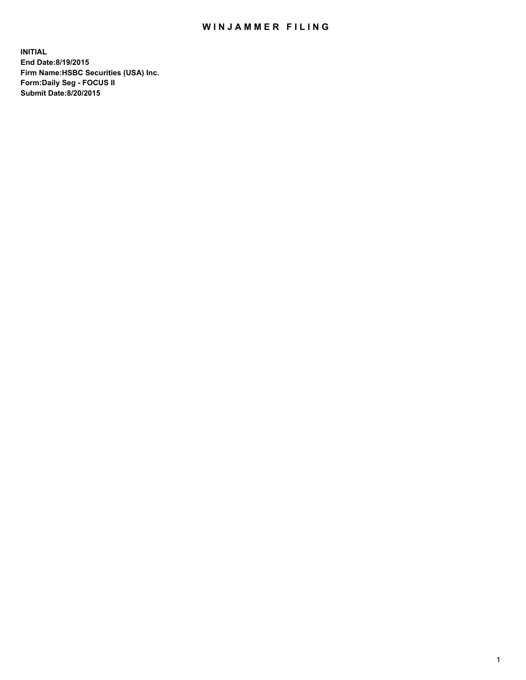## WIN JAMMER FILING

**INITIAL End Date:8/19/2015 Firm Name:HSBC Securities (USA) Inc. Form:Daily Seg - FOCUS II Submit Date:8/20/2015**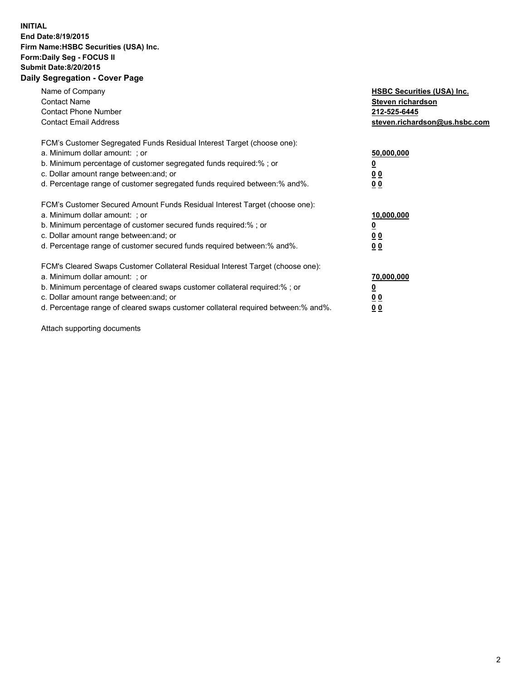## **INITIAL End Date:8/19/2015 Firm Name:HSBC Securities (USA) Inc. Form:Daily Seg - FOCUS II Submit Date:8/20/2015 Daily Segregation - Cover Page**

| Name of Company<br><b>Contact Name</b><br><b>Contact Phone Number</b><br><b>Contact Email Address</b>                                                                                                                                                                                                                         | <b>HSBC Securities (USA) Inc.</b><br>Steven richardson<br>212-525-6445<br>steven.richardson@us.hsbc.com |
|-------------------------------------------------------------------------------------------------------------------------------------------------------------------------------------------------------------------------------------------------------------------------------------------------------------------------------|---------------------------------------------------------------------------------------------------------|
| FCM's Customer Segregated Funds Residual Interest Target (choose one):<br>a. Minimum dollar amount: ; or<br>b. Minimum percentage of customer segregated funds required:%; or<br>c. Dollar amount range between: and; or<br>d. Percentage range of customer segregated funds required between:% and%.                         | 50,000,000<br>00<br>0 <sub>0</sub>                                                                      |
| FCM's Customer Secured Amount Funds Residual Interest Target (choose one):<br>a. Minimum dollar amount: ; or<br>b. Minimum percentage of customer secured funds required:%; or<br>c. Dollar amount range between: and; or<br>d. Percentage range of customer secured funds required between:% and%.                           | 10,000,000<br>0 <sub>0</sub><br>00                                                                      |
| FCM's Cleared Swaps Customer Collateral Residual Interest Target (choose one):<br>a. Minimum dollar amount: ; or<br>b. Minimum percentage of cleared swaps customer collateral required:%; or<br>c. Dollar amount range between: and; or<br>d. Percentage range of cleared swaps customer collateral required between:% and%. | 70,000,000<br><u>00</u><br><u>00</u>                                                                    |

Attach supporting documents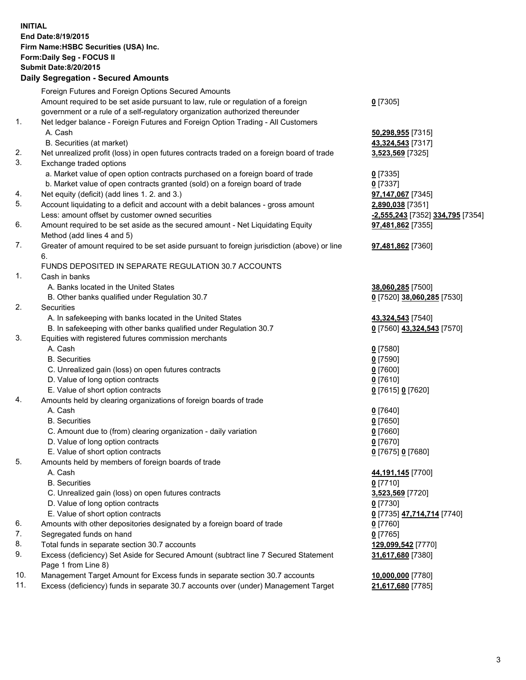**INITIAL End Date:8/19/2015 Firm Name:HSBC Securities (USA) Inc. Form:Daily Seg - FOCUS II Submit Date:8/20/2015 Daily Segregation - Secured Amounts** Foreign Futures and Foreign Options Secured Amounts Amount required to be set aside pursuant to law, rule or regulation of a foreign government or a rule of a self-regulatory organization authorized thereunder **0** [7305] 1. Net ledger balance - Foreign Futures and Foreign Option Trading - All Customers A. Cash **50,298,955** [7315] B. Securities (at market) **43,324,543** [7317] 2. Net unrealized profit (loss) in open futures contracts traded on a foreign board of trade **3,523,569** [7325] 3. Exchange traded options a. Market value of open option contracts purchased on a foreign board of trade **0** [7335] b. Market value of open contracts granted (sold) on a foreign board of trade **0** [7337] 4. Net equity (deficit) (add lines 1. 2. and 3.) **97,147,067** [7345] 5. Account liquidating to a deficit and account with a debit balances - gross amount **2,890,038** [7351] Less: amount offset by customer owned securities **-2,555,243** [7352] **334,795** [7354] 6. Amount required to be set aside as the secured amount - Net Liquidating Equity Method (add lines 4 and 5) **97,481,862** [7355] 7. Greater of amount required to be set aside pursuant to foreign jurisdiction (above) or line 6. **97,481,862** [7360] FUNDS DEPOSITED IN SEPARATE REGULATION 30.7 ACCOUNTS 1. Cash in banks A. Banks located in the United States **38,060,285** [7500] B. Other banks qualified under Regulation 30.7 **0** [7520] **38,060,285** [7530] 2. Securities A. In safekeeping with banks located in the United States **43,324,543** [7540] B. In safekeeping with other banks qualified under Regulation 30.7 **0** [7560] **43,324,543** [7570] 3. Equities with registered futures commission merchants A. Cash **0** [7580] B. Securities **0** [7590] C. Unrealized gain (loss) on open futures contracts **0** [7600] D. Value of long option contracts **0** [7610] E. Value of short option contracts **0** [7615] **0** [7620] 4. Amounts held by clearing organizations of foreign boards of trade A. Cash **0** [7640] B. Securities **0** [7650] C. Amount due to (from) clearing organization - daily variation **0** [7660] D. Value of long option contracts **0** [7670] E. Value of short option contracts **0** [7675] **0** [7680] 5. Amounts held by members of foreign boards of trade A. Cash **44,191,145** [7700] B. Securities **0** [7710] C. Unrealized gain (loss) on open futures contracts **3,523,569** [7720] D. Value of long option contracts **0** [7730] E. Value of short option contracts **0** [7735] **47,714,714** [7740] 6. Amounts with other depositories designated by a foreign board of trade **0** [7760] 7. Segregated funds on hand **0** [7765] 8. Total funds in separate section 30.7 accounts **129,099,542** [7770] **31,617,680** [7380]

9. Excess (deficiency) Set Aside for Secured Amount (subtract line 7 Secured Statement Page 1 from Line 8)

10. Management Target Amount for Excess funds in separate section 30.7 accounts **10,000,000** [7780]

11. Excess (deficiency) funds in separate 30.7 accounts over (under) Management Target **21,617,680** [7785]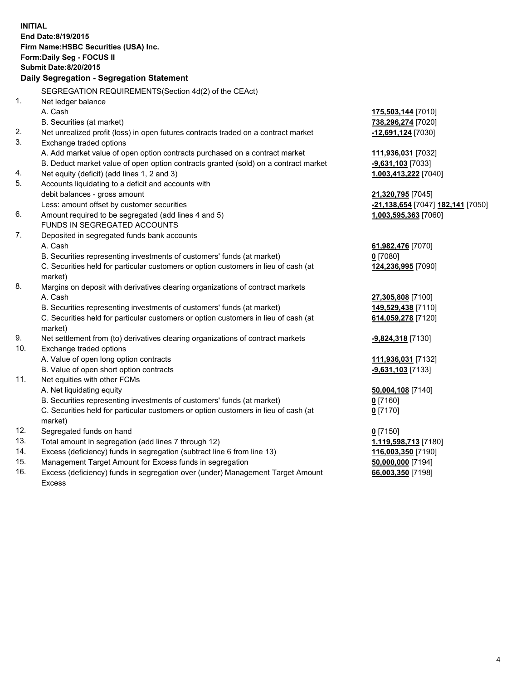| <b>INITIAL</b>                                              |                                                                                                |                                   |  |  |
|-------------------------------------------------------------|------------------------------------------------------------------------------------------------|-----------------------------------|--|--|
| End Date:8/19/2015                                          |                                                                                                |                                   |  |  |
| Firm Name: HSBC Securities (USA) Inc.                       |                                                                                                |                                   |  |  |
| Form: Daily Seg - FOCUS II<br><b>Submit Date: 8/20/2015</b> |                                                                                                |                                   |  |  |
|                                                             |                                                                                                |                                   |  |  |
|                                                             | Daily Segregation - Segregation Statement                                                      |                                   |  |  |
|                                                             | SEGREGATION REQUIREMENTS(Section 4d(2) of the CEAct)                                           |                                   |  |  |
| 1.                                                          | Net ledger balance                                                                             |                                   |  |  |
|                                                             | A. Cash                                                                                        | 175,503,144 [7010]                |  |  |
|                                                             | B. Securities (at market)                                                                      | 738,296,274 [7020]                |  |  |
| 2.                                                          | Net unrealized profit (loss) in open futures contracts traded on a contract market             | -12,691,124 [7030]                |  |  |
| 3.                                                          | Exchange traded options                                                                        |                                   |  |  |
|                                                             | A. Add market value of open option contracts purchased on a contract market                    | 111,936,031 [7032]                |  |  |
|                                                             | B. Deduct market value of open option contracts granted (sold) on a contract market            | -9,631,103 [7033]                 |  |  |
| 4.                                                          | Net equity (deficit) (add lines 1, 2 and 3)                                                    | 1,003,413,222 [7040]              |  |  |
| 5.                                                          | Accounts liquidating to a deficit and accounts with                                            |                                   |  |  |
|                                                             | debit balances - gross amount                                                                  | 21,320,795 [7045]                 |  |  |
|                                                             | Less: amount offset by customer securities                                                     | -21,138,654 [7047] 182,141 [7050] |  |  |
| 6.                                                          | Amount required to be segregated (add lines 4 and 5)                                           | 1,003,595,363 [7060]              |  |  |
|                                                             | FUNDS IN SEGREGATED ACCOUNTS                                                                   |                                   |  |  |
| 7.                                                          | Deposited in segregated funds bank accounts                                                    |                                   |  |  |
|                                                             | A. Cash                                                                                        | 61,982,476 [7070]                 |  |  |
|                                                             | B. Securities representing investments of customers' funds (at market)                         | $0$ [7080]                        |  |  |
|                                                             | C. Securities held for particular customers or option customers in lieu of cash (at            | 124,236,995 [7090]                |  |  |
|                                                             | market)                                                                                        |                                   |  |  |
| 8.                                                          | Margins on deposit with derivatives clearing organizations of contract markets                 |                                   |  |  |
|                                                             | A. Cash                                                                                        | 27,305,808 [7100]                 |  |  |
|                                                             | B. Securities representing investments of customers' funds (at market)                         | 149,529,438 [7110]                |  |  |
|                                                             | C. Securities held for particular customers or option customers in lieu of cash (at<br>market) | 614,059,278 [7120]                |  |  |
| 9.                                                          | Net settlement from (to) derivatives clearing organizations of contract markets                | -9,824,318 [7130]                 |  |  |
| 10.                                                         | Exchange traded options                                                                        |                                   |  |  |
|                                                             | A. Value of open long option contracts                                                         | 111,936,031 [7132]                |  |  |
|                                                             | B. Value of open short option contracts                                                        | -9,631,103 [7133]                 |  |  |
| 11.                                                         | Net equities with other FCMs                                                                   |                                   |  |  |
|                                                             | A. Net liquidating equity                                                                      | 50,004,108 [7140]                 |  |  |
|                                                             | B. Securities representing investments of customers' funds (at market)                         | $0$ [7160]                        |  |  |
|                                                             | C. Securities held for particular customers or option customers in lieu of cash (at            | $0$ [7170]                        |  |  |
|                                                             | market)                                                                                        |                                   |  |  |
| 12.                                                         | Segregated funds on hand                                                                       | $0$ [7150]                        |  |  |
| 13.                                                         | Total amount in segregation (add lines 7 through 12)                                           | 1,119,598,713 [7180]              |  |  |
| 14.                                                         | Excess (deficiency) funds in segregation (subtract line 6 from line 13)                        | 116,003,350 [7190]                |  |  |
| 15.                                                         | Management Target Amount for Excess funds in segregation                                       | 50,000,000 [7194]                 |  |  |
| 16.                                                         | Excess (deficiency) funds in segregation over (under) Management Target Amount                 | 66,003,350 [7198]                 |  |  |

16. Excess (deficiency) funds in segregation over (under) Management Target Amount Excess